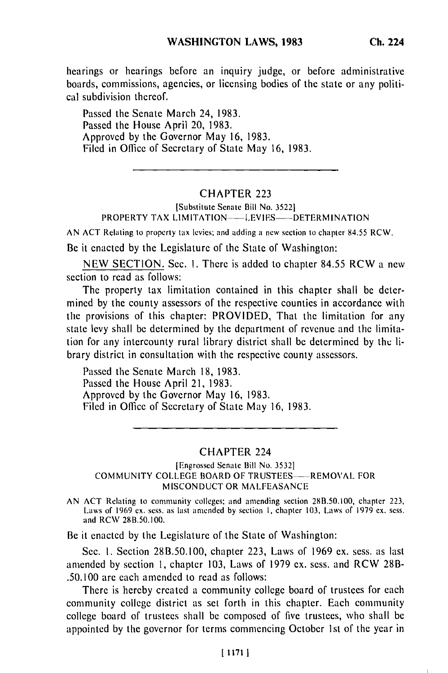hearings or hearings before an inquiry judge, or before administrative boards, commissions, agencies, or licensing bodies of the state or any political subdivision thereof.

Passed the Senate March 24, 1983. Passed the House April 20, 1983. Approved by the Governor May 16, 1983. Filed in Office of Secretary of State May 16, 1983.

## CHAPTER 223

(Substitute Senate Bill No. 35221 PROPERTY TAX LIMITATION----LEVIES----DETERMINATION

AN ACT Relating to property tax levies; and adding a new section to chapter 84.55 RCW.

Be it enacted by the Legislature of the State of Washington:

NEW SECTION. Sec. I. There is added to chapter 84.55 RCW a new section to read as follows:

The property tax limitation contained in this chapter shall be determined by the county assessors of the respective counties in accordance with the provisions of this chapter: PROVIDED, That the limitation for any state levy shall be determined by the department of revenue and the limitation for any intercounty rural library district shall be determined by the library district in consultation with the respective county assessors.

Passed the Senate March 18, 1983. Passed the House April 21, 1983. Approved by the Governor May 16, 1983. Filed in Office of Secretary of State May 16, 1983.

### CHAPTER 224

### [Engrossed Senate Bill No. **3532]** COMMUNITY COLLEGE BOARD OF TRUSTEES---- REMOVAL FOR MISCONDUCT OR MALFEASANCE

AN ACT Relating to community colleges; and amending section 28B.50.100, chapter 223, Laws of 1969 ex. sess. as last amended by section I, chapter 103, Laws of 1979 ex. sess. and RCW 28B.50.100.

Be it enacted by the Legislature of the State of Washington:

Sec. **1.** Section 28B.50.100, chapter 223, Laws of 1969 ex. sess. as last amended by section 1, chapter 103, Laws of 1979 ex. sess. and RCW 28B- .50.100 are each amended to read as follows:

There is hereby created a community college board of trustees for each community college district as set forth in this chapter. Each community college board of trustees shall be composed of five trustees, who shall be appointed by the governor for terms commencing October 1st of the year in